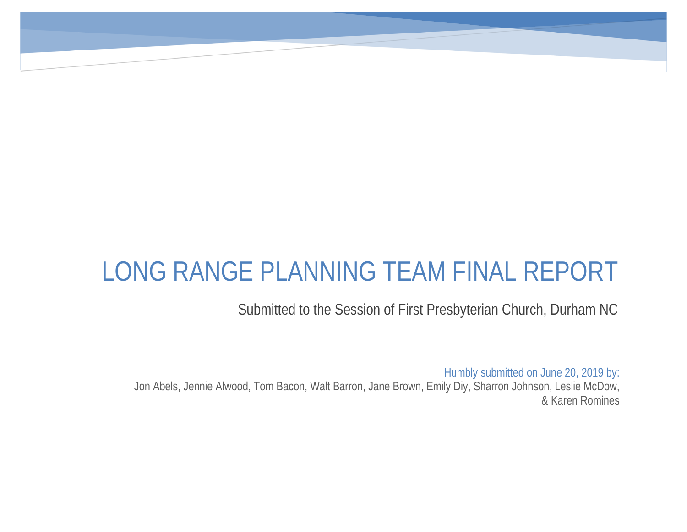## LONG RANGE PLANNING TEAM FINAL REPORT

Submitted to the Session of First Presbyterian Church, Durham NC

Humbly submitted on June 20, 2019 by: Jon Abels, Jennie Alwood, Tom Bacon, Walt Barron, Jane Brown, Emily Diy, Sharron Johnson, Leslie McDow, & Karen Romines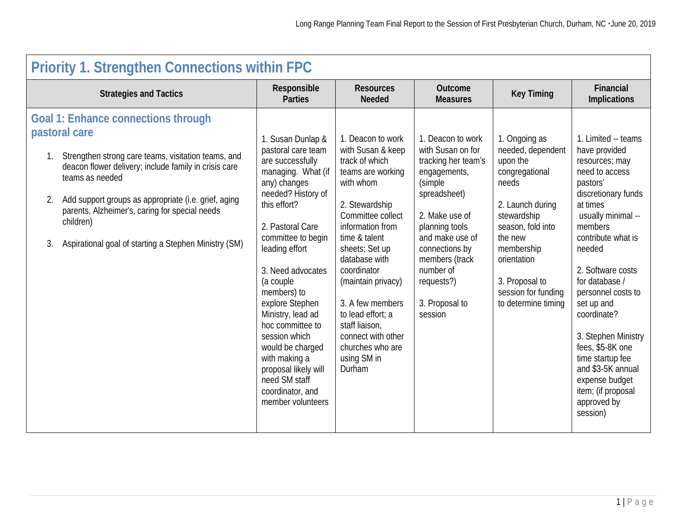| <b>Priority 1. Strengthen Connections within FPC</b>                                                                                                                                                                                                                                                                                                                                 |                                                                                                                                                                                                                                                                                                                                                                                                                                                          |                                                                                                                                                                                                                                                                                                                                                                              |                                                                                                                                                                                                                                                             |                                                                                                                                                                                                                                           |                                                                                                                                                                                                                                                                                                                                                                                                                                           |  |  |
|--------------------------------------------------------------------------------------------------------------------------------------------------------------------------------------------------------------------------------------------------------------------------------------------------------------------------------------------------------------------------------------|----------------------------------------------------------------------------------------------------------------------------------------------------------------------------------------------------------------------------------------------------------------------------------------------------------------------------------------------------------------------------------------------------------------------------------------------------------|------------------------------------------------------------------------------------------------------------------------------------------------------------------------------------------------------------------------------------------------------------------------------------------------------------------------------------------------------------------------------|-------------------------------------------------------------------------------------------------------------------------------------------------------------------------------------------------------------------------------------------------------------|-------------------------------------------------------------------------------------------------------------------------------------------------------------------------------------------------------------------------------------------|-------------------------------------------------------------------------------------------------------------------------------------------------------------------------------------------------------------------------------------------------------------------------------------------------------------------------------------------------------------------------------------------------------------------------------------------|--|--|
| <b>Strategies and Tactics</b>                                                                                                                                                                                                                                                                                                                                                        | Responsible<br><b>Parties</b>                                                                                                                                                                                                                                                                                                                                                                                                                            | <b>Resources</b><br><b>Needed</b>                                                                                                                                                                                                                                                                                                                                            | Outcome<br><b>Measures</b>                                                                                                                                                                                                                                  | <b>Key Timing</b>                                                                                                                                                                                                                         | Financial<br><b>Implications</b>                                                                                                                                                                                                                                                                                                                                                                                                          |  |  |
| <b>Goal 1: Enhance connections through</b><br>pastoral care<br>Strengthen strong care teams, visitation teams, and<br>deacon flower delivery; include family in crisis care<br>teams as needed<br>Add support groups as appropriate (i.e. grief, aging<br>parents, Alzheimer's, caring for special needs<br>children)<br>Aspirational goal of starting a Stephen Ministry (SM)<br>3. | 1. Susan Dunlap &<br>pastoral care team<br>are successfully<br>managing. What (if<br>any) changes<br>needed? History of<br>this effort?<br>2. Pastoral Care<br>committee to begin<br>leading effort<br>3. Need advocates<br>(a couple<br>members) to<br>explore Stephen<br>Ministry, lead ad<br>hoc committee to<br>session which<br>would be charged<br>with making a<br>proposal likely will<br>need SM staff<br>coordinator, and<br>member volunteers | 1. Deacon to work<br>with Susan & keep<br>track of which<br>teams are working<br>with whom<br>2. Stewardship<br>Committee collect<br>information from<br>time & talent<br>sheets; Set up<br>database with<br>coordinator<br>(maintain privacy)<br>3. A few members<br>to lead effort; a<br>staff liaison,<br>connect with other<br>churches who are<br>using SM in<br>Durham | 1. Deacon to work<br>with Susan on for<br>tracking her team's<br>engagements,<br>(simple<br>spreadsheet)<br>2. Make use of<br>planning tools<br>and make use of<br>connections by<br>members (track<br>number of<br>requests?)<br>3. Proposal to<br>session | 1. Ongoing as<br>needed, dependent<br>upon the<br>congregational<br>needs<br>2. Launch during<br>stewardship<br>season, fold into<br>the new<br>membership<br>orientation<br>3. Proposal to<br>session for funding<br>to determine timing | 1. Limited -- teams<br>have provided<br>resources; may<br>need to access<br>pastors'<br>discretionary funds<br>at times<br>usually minimal --<br>members<br>contribute what is<br>needed<br>2. Software costs<br>for database /<br>personnel costs to<br>set up and<br>coordinate?<br>3. Stephen Ministry<br>fees, \$5-8K one<br>time startup fee<br>and \$3-5K annual<br>expense budget<br>item; (if proposal<br>approved by<br>session) |  |  |
|                                                                                                                                                                                                                                                                                                                                                                                      |                                                                                                                                                                                                                                                                                                                                                                                                                                                          |                                                                                                                                                                                                                                                                                                                                                                              |                                                                                                                                                                                                                                                             |                                                                                                                                                                                                                                           |                                                                                                                                                                                                                                                                                                                                                                                                                                           |  |  |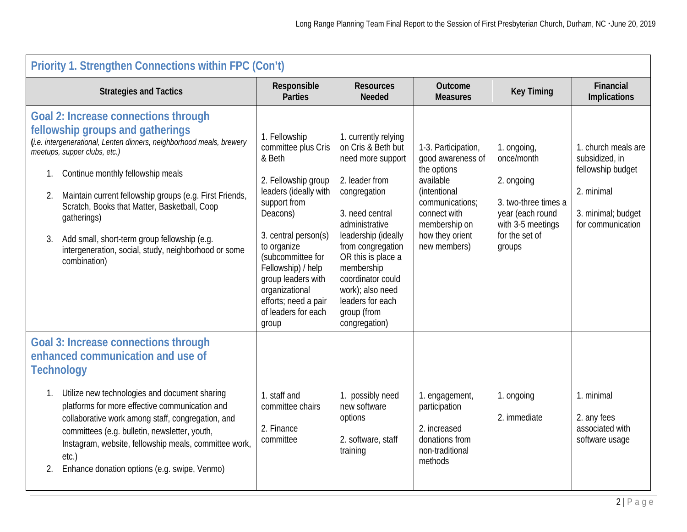|          | <b>Priority 1. Strengthen Connections within FPC (Con't)</b>                                                                                                                                                                                                                                                                                                                                                                                                                   |                                                                                                                                                                                                                                                                                                              |                                                                                                                                                                                                                                                                                                                     |                                                                                                                                                                                    |                                                                                                                                      |                                                                                                                     |  |
|----------|--------------------------------------------------------------------------------------------------------------------------------------------------------------------------------------------------------------------------------------------------------------------------------------------------------------------------------------------------------------------------------------------------------------------------------------------------------------------------------|--------------------------------------------------------------------------------------------------------------------------------------------------------------------------------------------------------------------------------------------------------------------------------------------------------------|---------------------------------------------------------------------------------------------------------------------------------------------------------------------------------------------------------------------------------------------------------------------------------------------------------------------|------------------------------------------------------------------------------------------------------------------------------------------------------------------------------------|--------------------------------------------------------------------------------------------------------------------------------------|---------------------------------------------------------------------------------------------------------------------|--|
|          | <b>Strategies and Tactics</b>                                                                                                                                                                                                                                                                                                                                                                                                                                                  | Responsible<br><b>Parties</b>                                                                                                                                                                                                                                                                                | <b>Resources</b><br><b>Needed</b>                                                                                                                                                                                                                                                                                   | Outcome<br><b>Measures</b>                                                                                                                                                         | <b>Key Timing</b>                                                                                                                    | Financial<br><b>Implications</b>                                                                                    |  |
| 2.<br>3. | <b>Goal 2: Increase connections through</b><br>fellowship groups and gatherings<br>(i.e. intergenerational, Lenten dinners, neighborhood meals, brewery<br>meetups, supper clubs, etc.)<br>Continue monthly fellowship meals<br>Maintain current fellowship groups (e.g. First Friends,<br>Scratch, Books that Matter, Basketball, Coop<br>gatherings)<br>Add small, short-term group fellowship (e.g.<br>intergeneration, social, study, neighborhood or some<br>combination) | 1. Fellowship<br>committee plus Cris<br>& Beth<br>2. Fellowship group<br>leaders (ideally with<br>support from<br>Deacons)<br>3. central person(s)<br>to organize<br>(subcommittee for<br>Fellowship) / help<br>group leaders with<br>organizational<br>efforts; need a pair<br>of leaders for each<br>group | 1. currently relying<br>on Cris & Beth but<br>need more support<br>2. leader from<br>congregation<br>3. need central<br>administrative<br>leadership (ideally<br>from congregation<br>OR this is place a<br>membership<br>coordinator could<br>work); also need<br>leaders for each<br>group (from<br>congregation) | 1-3. Participation,<br>good awareness of<br>the options<br>available<br><i>(intentional</i><br>communications;<br>connect with<br>membership on<br>how they orient<br>new members) | 1. ongoing,<br>once/month<br>2. ongoing<br>3. two-three times a<br>year (each round<br>with 3-5 meetings<br>for the set of<br>groups | 1. church meals are<br>subsidized, in<br>fellowship budget<br>2. minimal<br>3. minimal; budget<br>for communication |  |
|          | <b>Goal 3: Increase connections through</b><br>enhanced communication and use of<br><b>Technology</b>                                                                                                                                                                                                                                                                                                                                                                          |                                                                                                                                                                                                                                                                                                              |                                                                                                                                                                                                                                                                                                                     |                                                                                                                                                                                    |                                                                                                                                      |                                                                                                                     |  |
| 2.       | Utilize new technologies and document sharing<br>platforms for more effective communication and<br>collaborative work among staff, congregation, and<br>committees (e.g. bulletin, newsletter, youth,<br>Instagram, website, fellowship meals, committee work,<br>etc.)<br>Enhance donation options (e.g. swipe, Venmo)                                                                                                                                                        | 1. staff and<br>committee chairs<br>2. Finance<br>committee                                                                                                                                                                                                                                                  | 1. possibly need<br>new software<br>options<br>2. software, staff<br>training                                                                                                                                                                                                                                       | 1. engagement,<br>participation<br>2. increased<br>donations from<br>non-traditional<br>methods                                                                                    | 1. ongoing<br>2. immediate                                                                                                           | 1. minimal<br>2. any fees<br>associated with<br>software usage                                                      |  |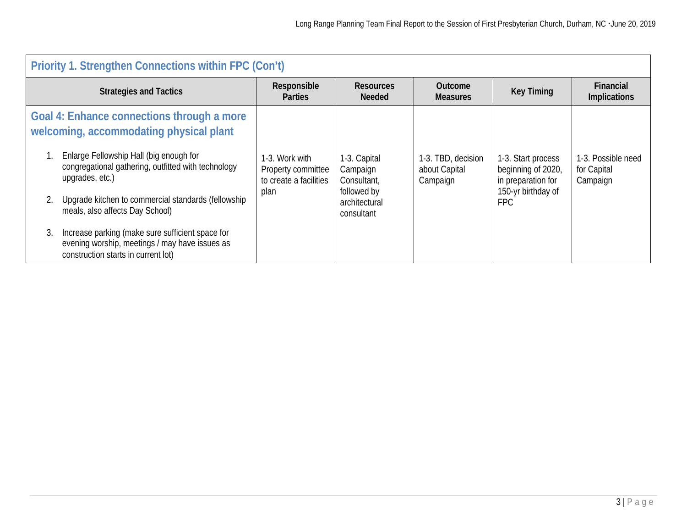| <b>Priority 1. Strengthen Connections within FPC (Con't)</b>                                                                                                                                                                                                                                                                                                                                                                                            |                                                                        |                                                                                       |                                                 |                                                                                                    |                                               |  |  |
|---------------------------------------------------------------------------------------------------------------------------------------------------------------------------------------------------------------------------------------------------------------------------------------------------------------------------------------------------------------------------------------------------------------------------------------------------------|------------------------------------------------------------------------|---------------------------------------------------------------------------------------|-------------------------------------------------|----------------------------------------------------------------------------------------------------|-----------------------------------------------|--|--|
| <b>Strategies and Tactics</b>                                                                                                                                                                                                                                                                                                                                                                                                                           | Responsible<br><b>Parties</b>                                          | <b>Resources</b><br><b>Needed</b>                                                     | <b>Outcome</b><br><b>Measures</b>               | <b>Key Timing</b>                                                                                  | Financial<br><b>Implications</b>              |  |  |
| Goal 4: Enhance connections through a more<br>welcoming, accommodating physical plant<br>Enlarge Fellowship Hall (big enough for<br>congregational gathering, outfitted with technology<br>upgrades, etc.)<br>Upgrade kitchen to commercial standards (fellowship<br>meals, also affects Day School)<br>Increase parking (make sure sufficient space for<br>3.<br>evening worship, meetings / may have issues as<br>construction starts in current lot) | 1-3. Work with<br>Property committee<br>to create a facilities<br>plan | 1-3. Capital<br>Campaign<br>Consultant,<br>followed by<br>architectural<br>consultant | 1-3. TBD, decision<br>about Capital<br>Campaign | 1-3. Start process<br>beginning of 2020,<br>in preparation for<br>150-yr birthday of<br><b>FPC</b> | 1-3. Possible need<br>for Capital<br>Campaign |  |  |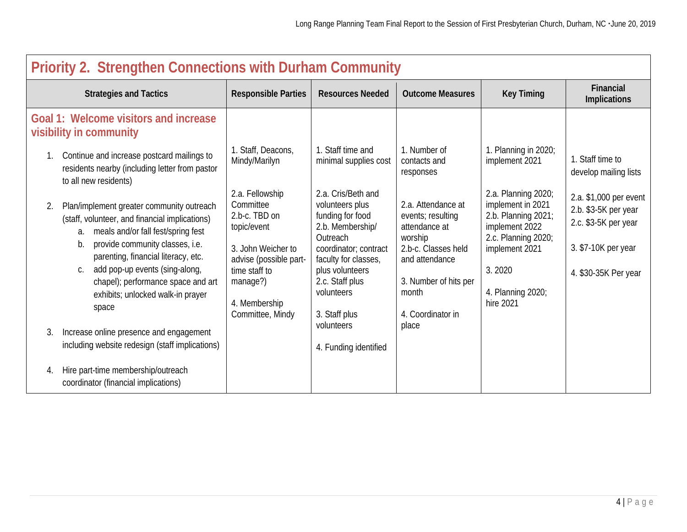| Priority 2. Strengthen Connections with Durham Community                                                                                                                                                                                                                                                                                                  |                                                                                                                                                                                |                                                                                                                                                                                                                 |                                                                                                                                                                     |                                                                                                                                                                        |                                                                                                                       |  |  |
|-----------------------------------------------------------------------------------------------------------------------------------------------------------------------------------------------------------------------------------------------------------------------------------------------------------------------------------------------------------|--------------------------------------------------------------------------------------------------------------------------------------------------------------------------------|-----------------------------------------------------------------------------------------------------------------------------------------------------------------------------------------------------------------|---------------------------------------------------------------------------------------------------------------------------------------------------------------------|------------------------------------------------------------------------------------------------------------------------------------------------------------------------|-----------------------------------------------------------------------------------------------------------------------|--|--|
| <b>Strategies and Tactics</b>                                                                                                                                                                                                                                                                                                                             | <b>Responsible Parties</b>                                                                                                                                                     | <b>Resources Needed</b>                                                                                                                                                                                         | <b>Outcome Measures</b>                                                                                                                                             | <b>Key Timing</b>                                                                                                                                                      | Financial<br><b>Implications</b>                                                                                      |  |  |
| Goal 1: Welcome visitors and increase<br>visibility in community                                                                                                                                                                                                                                                                                          |                                                                                                                                                                                |                                                                                                                                                                                                                 |                                                                                                                                                                     |                                                                                                                                                                        |                                                                                                                       |  |  |
| Continue and increase postcard mailings to<br>1.<br>residents nearby (including letter from pastor<br>to all new residents)                                                                                                                                                                                                                               | 1. Staff, Deacons,<br>Mindy/Marilyn                                                                                                                                            | 1. Staff time and<br>minimal supplies cost                                                                                                                                                                      | 1. Number of<br>contacts and<br>responses                                                                                                                           | 1. Planning in 2020;<br>implement 2021                                                                                                                                 | 1. Staff time to<br>develop mailing lists                                                                             |  |  |
| Plan/implement greater community outreach<br>2.<br>(staff, volunteer, and financial implications)<br>meals and/or fall fest/spring fest<br>а.<br>provide community classes, i.e.<br>b.<br>parenting, financial literacy, etc.<br>add pop-up events (sing-along,<br>C.<br>chapel); performance space and art<br>exhibits; unlocked walk-in prayer<br>space | 2.a. Fellowship<br>Committee<br>2.b-c. TBD on<br>topic/event<br>3. John Weicher to<br>advise (possible part-<br>time staff to<br>manage?)<br>4. Membership<br>Committee, Mindy | 2.a. Cris/Beth and<br>volunteers plus<br>funding for food<br>2.b. Membership/<br>Outreach<br>coordinator; contract<br>faculty for classes,<br>plus volunteers<br>2.c. Staff plus<br>volunteers<br>3. Staff plus | 2.a. Attendance at<br>events; resulting<br>attendance at<br>worship<br>2.b-c. Classes held<br>and attendance<br>3. Number of hits per<br>month<br>4. Coordinator in | 2.a. Planning 2020;<br>implement in 2021<br>2.b. Planning 2021;<br>implement 2022<br>2.c. Planning 2020;<br>implement 2021<br>3.2020<br>4. Planning 2020;<br>hire 2021 | 2.a. \$1,000 per event<br>2.b. \$3-5K per year<br>2.c. \$3-5K per year<br>3. \$7-10K per year<br>4. \$30-35K Per year |  |  |
| 3.<br>Increase online presence and engagement<br>including website redesign (staff implications)                                                                                                                                                                                                                                                          |                                                                                                                                                                                | volunteers<br>4. Funding identified                                                                                                                                                                             | place                                                                                                                                                               |                                                                                                                                                                        |                                                                                                                       |  |  |
| Hire part-time membership/outreach<br>4.<br>coordinator (financial implications)                                                                                                                                                                                                                                                                          |                                                                                                                                                                                |                                                                                                                                                                                                                 |                                                                                                                                                                     |                                                                                                                                                                        |                                                                                                                       |  |  |

## **Priority 2. Strengthen Connections with Durham Community**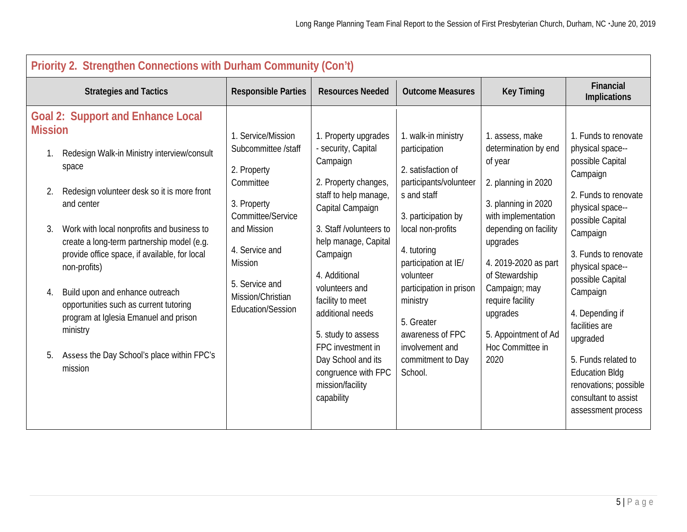| Priority 2. Strengthen Connections with Durham Community (Con't)                                                                                                                                                                                                                                                                                                                                                                                                                                                                                                |                                                                                                                                                                                                                          |                                                                                                                                                                                                                                                                                                                                                                                                  |                                                                                                                                                                                                                                                                                                                                 |                                                                                                                                                                                                                                                                                                             |                                                                                                                                                                                                                                                                                                                                                                                                          |  |  |
|-----------------------------------------------------------------------------------------------------------------------------------------------------------------------------------------------------------------------------------------------------------------------------------------------------------------------------------------------------------------------------------------------------------------------------------------------------------------------------------------------------------------------------------------------------------------|--------------------------------------------------------------------------------------------------------------------------------------------------------------------------------------------------------------------------|--------------------------------------------------------------------------------------------------------------------------------------------------------------------------------------------------------------------------------------------------------------------------------------------------------------------------------------------------------------------------------------------------|---------------------------------------------------------------------------------------------------------------------------------------------------------------------------------------------------------------------------------------------------------------------------------------------------------------------------------|-------------------------------------------------------------------------------------------------------------------------------------------------------------------------------------------------------------------------------------------------------------------------------------------------------------|----------------------------------------------------------------------------------------------------------------------------------------------------------------------------------------------------------------------------------------------------------------------------------------------------------------------------------------------------------------------------------------------------------|--|--|
| <b>Strategies and Tactics</b>                                                                                                                                                                                                                                                                                                                                                                                                                                                                                                                                   | <b>Responsible Parties</b>                                                                                                                                                                                               | <b>Resources Needed</b>                                                                                                                                                                                                                                                                                                                                                                          | <b>Outcome Measures</b>                                                                                                                                                                                                                                                                                                         | <b>Key Timing</b>                                                                                                                                                                                                                                                                                           | Financial<br>Implications                                                                                                                                                                                                                                                                                                                                                                                |  |  |
| <b>Goal 2: Support and Enhance Local</b><br><b>Mission</b><br>Redesign Walk-in Ministry interview/consult<br>space<br>Redesign volunteer desk so it is more front<br>2.<br>and center<br>Work with local nonprofits and business to<br>3.<br>create a long-term partnership model (e.g.<br>provide office space, if available, for local<br>non-profits)<br>Build upon and enhance outreach<br>4.<br>opportunities such as current tutoring<br>program at Iglesia Emanuel and prison<br>ministry<br>Assess the Day School's place within FPC's<br>5.<br>mission | 1. Service/Mission<br>Subcommittee /staff<br>2. Property<br>Committee<br>3. Property<br>Committee/Service<br>and Mission<br>4. Service and<br><b>Mission</b><br>5. Service and<br>Mission/Christian<br>Education/Session | 1. Property upgrades<br>- security, Capital<br>Campaign<br>2. Property changes,<br>staff to help manage,<br>Capital Campaign<br>3. Staff /volunteers to<br>help manage, Capital<br>Campaign<br>4. Additional<br>volunteers and<br>facility to meet<br>additional needs<br>5. study to assess<br>FPC investment in<br>Day School and its<br>congruence with FPC<br>mission/facility<br>capability | 1. walk-in ministry<br>participation<br>2. satisfaction of<br>participants/volunteer<br>s and staff<br>3. participation by<br>local non-profits<br>4. tutoring<br>participation at IE/<br>volunteer<br>participation in prison<br>ministry<br>5. Greater<br>awareness of FPC<br>involvement and<br>commitment to Day<br>School. | 1. assess, make<br>determination by end<br>of year<br>2. planning in 2020<br>3. planning in 2020<br>with implementation<br>depending on facility<br>upgrades<br>4. 2019-2020 as part<br>of Stewardship<br>Campaign; may<br>require facility<br>upgrades<br>5. Appointment of Ad<br>Hoc Committee in<br>2020 | 1. Funds to renovate<br>physical space--<br>possible Capital<br>Campaign<br>2. Funds to renovate<br>physical space--<br>possible Capital<br>Campaign<br>3. Funds to renovate<br>physical space--<br>possible Capital<br>Campaign<br>4. Depending if<br>facilities are<br>upgraded<br>5. Funds related to<br><b>Education Bldg</b><br>renovations; possible<br>consultant to assist<br>assessment process |  |  |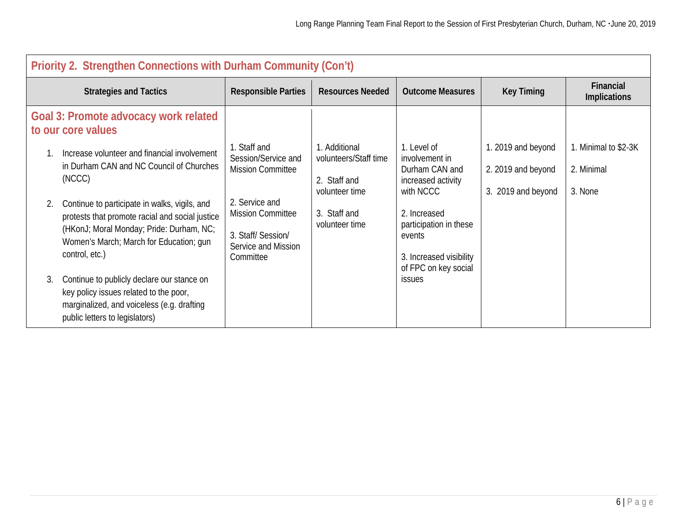| Priority 2. Strengthen Connections with Durham Community (Con't)                                                                                                                                                                                                                                                      |                                                                                                                                                                       |                                                                                                            |                                                                                                                                                                                           |                                                                |                                               |  |  |
|-----------------------------------------------------------------------------------------------------------------------------------------------------------------------------------------------------------------------------------------------------------------------------------------------------------------------|-----------------------------------------------------------------------------------------------------------------------------------------------------------------------|------------------------------------------------------------------------------------------------------------|-------------------------------------------------------------------------------------------------------------------------------------------------------------------------------------------|----------------------------------------------------------------|-----------------------------------------------|--|--|
| <b>Strategies and Tactics</b>                                                                                                                                                                                                                                                                                         | <b>Responsible Parties</b>                                                                                                                                            | <b>Resources Needed</b>                                                                                    | <b>Outcome Measures</b>                                                                                                                                                                   | <b>Key Timing</b>                                              | Financial<br><b>Implications</b>              |  |  |
| Goal 3: Promote advocacy work related<br>to our core values                                                                                                                                                                                                                                                           |                                                                                                                                                                       |                                                                                                            |                                                                                                                                                                                           |                                                                |                                               |  |  |
| Increase volunteer and financial involvement<br>in Durham CAN and NC Council of Churches<br>(NCCC)<br>Continue to participate in walks, vigils, and<br>2.<br>protests that promote racial and social justice<br>(HKonJ; Moral Monday; Pride: Durham, NC;<br>Women's March; March for Education; gun<br>control, etc.) | . Staff and<br>Session/Service and<br><b>Mission Committee</b><br>2. Service and<br><b>Mission Committee</b><br>3. Staff/Session/<br>Service and Mission<br>Committee | 1. Additional<br>volunteers/Staff time<br>2. Staff and<br>volunteer time<br>3. Staff and<br>volunteer time | 1. Level of<br>involvement in<br>Durham CAN and<br>increased activity<br>with NCCC<br>2. Increased<br>participation in these<br>events<br>3. Increased visibility<br>of FPC on key social | 1. 2019 and beyond<br>2. 2019 and beyond<br>3. 2019 and beyond | 1. Minimal to \$2-3K<br>2. Minimal<br>3. None |  |  |
| Continue to publicly declare our stance on<br>3.<br>key policy issues related to the poor,<br>marginalized, and voiceless (e.g. drafting<br>public letters to legislators)                                                                                                                                            |                                                                                                                                                                       |                                                                                                            | <b>issues</b>                                                                                                                                                                             |                                                                |                                               |  |  |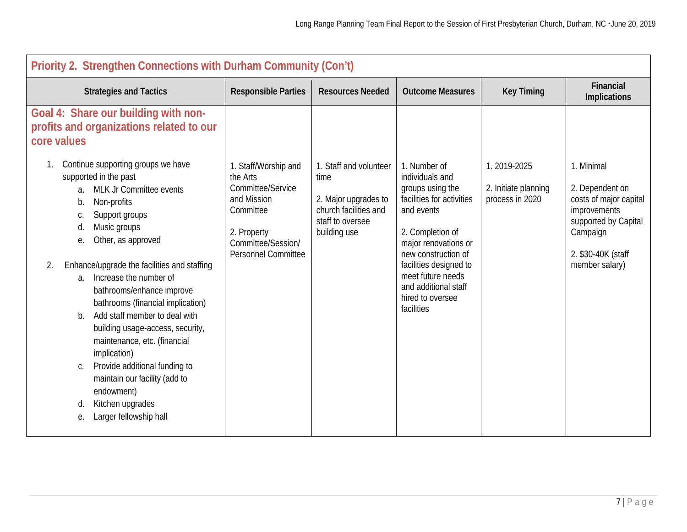| Priority 2. Strengthen Connections with Durham Community (Con't)                                                                                                                                                                                                                                                                                                                                          |                                                                                                                                                      |                                                                                                                     |                                                                                                                                                                   |                                                        |                                                                                                                                   |  |  |
|-----------------------------------------------------------------------------------------------------------------------------------------------------------------------------------------------------------------------------------------------------------------------------------------------------------------------------------------------------------------------------------------------------------|------------------------------------------------------------------------------------------------------------------------------------------------------|---------------------------------------------------------------------------------------------------------------------|-------------------------------------------------------------------------------------------------------------------------------------------------------------------|--------------------------------------------------------|-----------------------------------------------------------------------------------------------------------------------------------|--|--|
| <b>Strategies and Tactics</b>                                                                                                                                                                                                                                                                                                                                                                             | <b>Responsible Parties</b>                                                                                                                           | <b>Resources Needed</b>                                                                                             | <b>Outcome Measures</b>                                                                                                                                           | <b>Key Timing</b>                                      | Financial<br><b>Implications</b>                                                                                                  |  |  |
| Goal 4: Share our building with non-<br>profits and organizations related to our<br>core values                                                                                                                                                                                                                                                                                                           |                                                                                                                                                      |                                                                                                                     |                                                                                                                                                                   |                                                        |                                                                                                                                   |  |  |
| Continue supporting groups we have<br>supported in the past<br>MLK Jr Committee events<br>a.<br>Non-profits<br>b.<br>Support groups<br>C.<br>Music groups<br>d.<br>Other, as approved<br>е.                                                                                                                                                                                                               | 1. Staff/Worship and<br>the Arts<br>Committee/Service<br>and Mission<br>Committee<br>2. Property<br>Committee/Session/<br><b>Personnel Committee</b> | 1. Staff and volunteer<br>time<br>2. Major upgrades to<br>church facilities and<br>staff to oversee<br>building use | 1. Number of<br>individuals and<br>groups using the<br>facilities for activities<br>and events<br>2. Completion of<br>major renovations or<br>new construction of | 1.2019-2025<br>2. Initiate planning<br>process in 2020 | 1. Minimal<br>2. Dependent on<br>costs of major capital<br>improvements<br>supported by Capital<br>Campaign<br>2. \$30-40K (staff |  |  |
| Enhance/upgrade the facilities and staffing<br>2.<br>a. Increase the number of<br>bathrooms/enhance improve<br>bathrooms (financial implication)<br>Add staff member to deal with<br>$b_{\cdot}$<br>building usage-access, security,<br>maintenance, etc. (financial<br>implication)<br>Provide additional funding to<br>$C_{1}$<br>maintain our facility (add to<br>endowment)<br>Kitchen upgrades<br>d. |                                                                                                                                                      |                                                                                                                     | facilities designed to<br>meet future needs<br>and additional staff<br>hired to oversee<br>facilities                                                             |                                                        | member salary)                                                                                                                    |  |  |
| Larger fellowship hall<br>е.                                                                                                                                                                                                                                                                                                                                                                              |                                                                                                                                                      |                                                                                                                     |                                                                                                                                                                   |                                                        |                                                                                                                                   |  |  |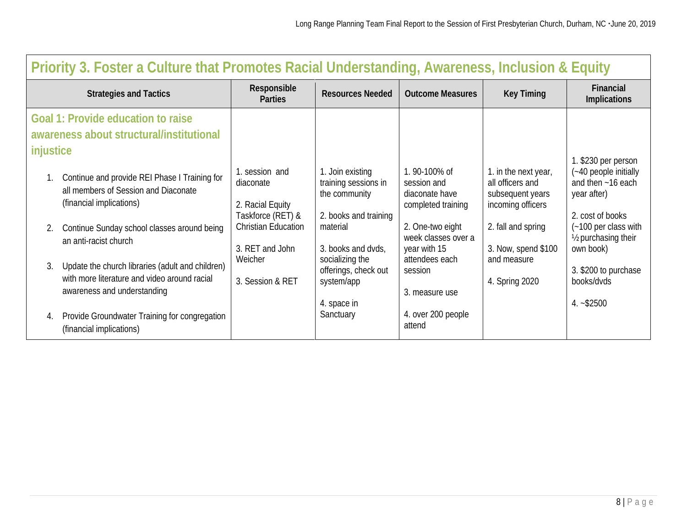|           | Priority 3. Foster a Culture that Promotes Racial Understanding, Awareness, Inclusion & Equity                                  |                                                                      |                                                                                    |                                                                     |                                                                                   |                                                                                                      |  |  |
|-----------|---------------------------------------------------------------------------------------------------------------------------------|----------------------------------------------------------------------|------------------------------------------------------------------------------------|---------------------------------------------------------------------|-----------------------------------------------------------------------------------|------------------------------------------------------------------------------------------------------|--|--|
|           | <b>Strategies and Tactics</b>                                                                                                   | Responsible<br><b>Parties</b>                                        | <b>Resources Needed</b>                                                            | <b>Outcome Measures</b>                                             | <b>Key Timing</b>                                                                 | Financial<br><b>Implications</b>                                                                     |  |  |
| injustice | Goal 1: Provide education to raise<br>awareness about structural/institutional                                                  |                                                                      |                                                                                    |                                                                     |                                                                                   |                                                                                                      |  |  |
|           | Continue and provide REI Phase I Training for<br>all members of Session and Diaconate<br>(financial implications)               | 1. session and<br>diaconate<br>2. Racial Equity<br>Taskforce (RET) & | 1. Join existing<br>training sessions in<br>the community<br>2. books and training | 1.90-100% of<br>session and<br>diaconate have<br>completed training | 1. in the next year,<br>all officers and<br>subsequent years<br>incoming officers | 1. \$230 per person<br>(~40 people initially<br>and then ~16 each<br>year after)<br>2. cost of books |  |  |
| 2.        | Continue Sunday school classes around being<br>an anti-racist church                                                            | <b>Christian Education</b><br>3. RET and John                        | material<br>3. books and dvds,                                                     | 2. One-two eight<br>week classes over a<br>year with 15             | 2. fall and spring<br>3. Now, spend \$100                                         | (~100 per class with<br>1/ <sub>2</sub> purchasing their<br>own book)                                |  |  |
| 3.        | Update the church libraries (adult and children)<br>with more literature and video around racial<br>awareness and understanding | Weicher<br>3. Session & RET                                          | socializing the<br>offerings, check out<br>system/app<br>4. space in               | attendees each<br>session<br>3. measure use                         | and measure<br>4. Spring 2020                                                     | 3. \$200 to purchase<br>books/dvds<br>$4. - $2500$                                                   |  |  |
| 4.        | Provide Groundwater Training for congregation<br>(financial implications)                                                       |                                                                      | Sanctuary                                                                          | 4. over 200 people<br>attend                                        |                                                                                   |                                                                                                      |  |  |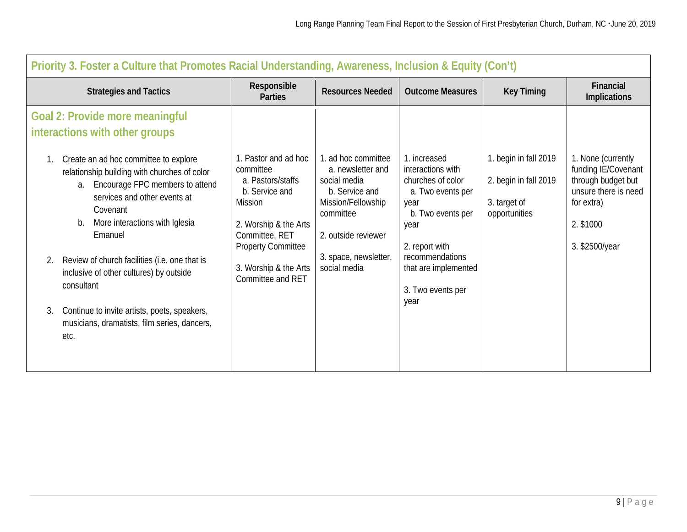| Priority 3. Foster a Culture that Promotes Racial Understanding, Awareness, Inclusion & Equity (Con't)                                                                                                                                                                                                                                                                                                                                                                                                                        |                                                                                                                                                                                                                  |                                                                                                                                                                               |                                                                                                                                                                                                            |                                                                                 |                                                                                                                                      |  |  |
|-------------------------------------------------------------------------------------------------------------------------------------------------------------------------------------------------------------------------------------------------------------------------------------------------------------------------------------------------------------------------------------------------------------------------------------------------------------------------------------------------------------------------------|------------------------------------------------------------------------------------------------------------------------------------------------------------------------------------------------------------------|-------------------------------------------------------------------------------------------------------------------------------------------------------------------------------|------------------------------------------------------------------------------------------------------------------------------------------------------------------------------------------------------------|---------------------------------------------------------------------------------|--------------------------------------------------------------------------------------------------------------------------------------|--|--|
| <b>Strategies and Tactics</b>                                                                                                                                                                                                                                                                                                                                                                                                                                                                                                 | Responsible<br><b>Parties</b>                                                                                                                                                                                    | <b>Resources Needed</b>                                                                                                                                                       | <b>Outcome Measures</b>                                                                                                                                                                                    | <b>Key Timing</b>                                                               | Financial<br>Implications                                                                                                            |  |  |
| Goal 2: Provide more meaningful<br>interactions with other groups<br>Create an ad hoc committee to explore<br>relationship building with churches of color<br>a. Encourage FPC members to attend<br>services and other events at<br>Covenant<br>More interactions with Iglesia<br>b.<br>Emanuel<br>Review of church facilities (i.e. one that is<br>2.<br>inclusive of other cultures) by outside<br>consultant<br>Continue to invite artists, poets, speakers,<br>3.<br>musicians, dramatists, film series, dancers,<br>etc. | 1. Pastor and ad hoc<br>committee<br>a. Pastors/staffs<br>b. Service and<br><b>Mission</b><br>2. Worship & the Arts<br>Committee, RET<br><b>Property Committee</b><br>3. Worship & the Arts<br>Committee and RET | 1. ad hoc committee<br>a. newsletter and<br>social media<br>b. Service and<br>Mission/Fellowship<br>committee<br>2. outside reviewer<br>3. space, newsletter,<br>social media | 1. increased<br>interactions with<br>churches of color<br>a. Two events per<br>year<br>b. Two events per<br>year<br>2. report with<br>recommendations<br>that are implemented<br>3. Two events per<br>year | 1. begin in fall 2019<br>2. begin in fall 2019<br>3. target of<br>opportunities | 1. None (currently<br>funding IE/Covenant<br>through budget but<br>unsure there is need<br>for extra)<br>2. \$1000<br>3. \$2500/year |  |  |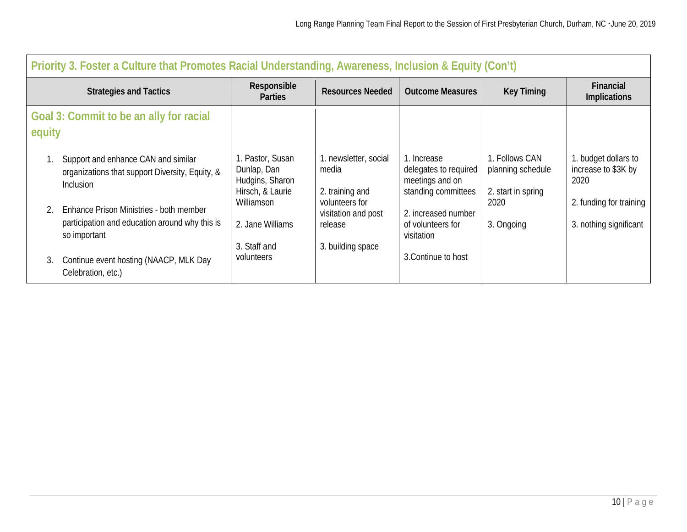|        | Priority 3. Foster a Culture that Promotes Racial Understanding, Awareness, Inclusion & Equity (Con't)     |                                                                        |                                                   |                                                                                |                                                           |                                                     |  |
|--------|------------------------------------------------------------------------------------------------------------|------------------------------------------------------------------------|---------------------------------------------------|--------------------------------------------------------------------------------|-----------------------------------------------------------|-----------------------------------------------------|--|
|        | <b>Strategies and Tactics</b>                                                                              | Responsible<br><b>Parties</b>                                          | <b>Resources Needed</b>                           | <b>Outcome Measures</b>                                                        | <b>Key Timing</b>                                         | <b>Financial</b><br>Implications                    |  |
| equity | Goal 3: Commit to be an ally for racial                                                                    |                                                                        |                                                   |                                                                                |                                                           |                                                     |  |
|        | Support and enhance CAN and similar<br>organizations that support Diversity, Equity, &<br><b>Inclusion</b> | 1. Pastor, Susan<br>Dunlap, Dan<br>Hudgins, Sharon<br>Hirsch, & Laurie | 1. newsletter, social<br>media<br>2. training and | 1. Increase<br>delegates to required<br>meetings and on<br>standing committees | 1. Follows CAN<br>planning schedule<br>2. start in spring | 1. budget dollars to<br>increase to \$3K by<br>2020 |  |
| 2.     | Enhance Prison Ministries - both member<br>participation and education around why this is<br>so important  | Williamson<br>2. Jane Williams                                         | volunteers for<br>visitation and post<br>release  | 2. increased number<br>of volunteers for<br>visitation                         | 2020<br>3. Ongoing                                        | 2. funding for training<br>3. nothing significant   |  |
| 3.     | Continue event hosting (NAACP, MLK Day<br>Celebration, etc.)                                               | 3. Staff and<br>volunteers                                             | 3. building space                                 | 3. Continue to host                                                            |                                                           |                                                     |  |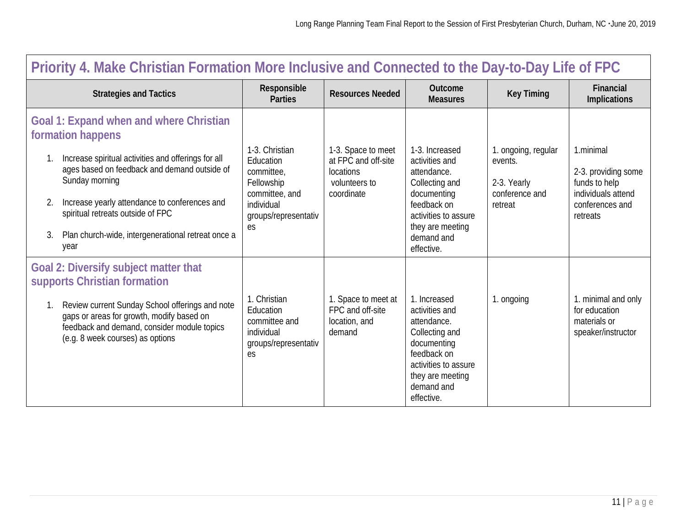| Priority 4. Make Christian Formation More Inclusive and Connected to the Day-to-Day Life of FPC                                                                                 |                                                                                        |                                                                    |                                                                                                                                                                       |                                          |                                                                            |  |
|---------------------------------------------------------------------------------------------------------------------------------------------------------------------------------|----------------------------------------------------------------------------------------|--------------------------------------------------------------------|-----------------------------------------------------------------------------------------------------------------------------------------------------------------------|------------------------------------------|----------------------------------------------------------------------------|--|
| <b>Strategies and Tactics</b>                                                                                                                                                   | Responsible<br><b>Parties</b>                                                          | <b>Resources Needed</b>                                            | Outcome<br><b>Measures</b>                                                                                                                                            | <b>Key Timing</b>                        | <b>Financial</b><br>Implications                                           |  |
| Goal 1: Expand when and where Christian<br>formation happens<br>Increase spiritual activities and offerings for all<br>ages based on feedback and demand outside of             | 1-3. Christian<br>Education<br>committee,                                              | 1-3. Space to meet<br>at FPC and off-site<br><b>locations</b>      | 1-3. Increased<br>activities and<br>attendance.                                                                                                                       | 1. ongoing, regular<br>events.           | 1.minimal<br>2-3. providing some                                           |  |
| Sunday morning<br>Increase yearly attendance to conferences and<br>2.<br>spiritual retreats outside of FPC<br>Plan church-wide, intergenerational retreat once a<br>3.          | Fellowship<br>committee, and<br>individual<br>groups/representativ<br>es               | volunteers to<br>coordinate                                        | Collecting and<br>documenting<br>feedback on<br>activities to assure<br>they are meeting                                                                              | 2-3. Yearly<br>conference and<br>retreat | funds to help<br>individuals attend<br>conferences and<br>retreats         |  |
| year                                                                                                                                                                            |                                                                                        |                                                                    | demand and<br>effective.                                                                                                                                              |                                          |                                                                            |  |
| <b>Goal 2: Diversify subject matter that</b><br>supports Christian formation                                                                                                    |                                                                                        |                                                                    |                                                                                                                                                                       |                                          |                                                                            |  |
| Review current Sunday School offerings and note<br>gaps or areas for growth, modify based on<br>feedback and demand, consider module topics<br>(e.g. 8 week courses) as options | 1. Christian<br>Education<br>committee and<br>individual<br>groups/representativ<br>es | 1. Space to meet at<br>FPC and off-site<br>location, and<br>demand | 1. Increased<br>activities and<br>attendance.<br>Collecting and<br>documenting<br>feedback on<br>activities to assure<br>they are meeting<br>demand and<br>effective. | 1. ongoing                               | 1. minimal and only<br>for education<br>materials or<br>speaker/instructor |  |